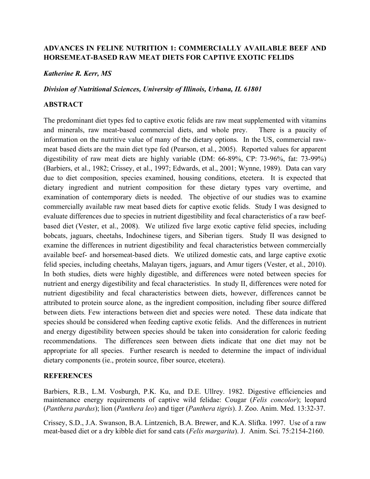# **ADVANCES IN FELINE NUTRITION 1: COMMERCIALLY AVAILABLE BEEF AND HORSEMEAT-BASED RAW MEAT DIETS FOR CAPTIVE EXOTIC FELIDS**

# *Katherine R. Kerr, MS*

#### *Division of Nutritional Sciences, University of Illinois, Urbana, IL 61801*

## **ABSTRACT**

The predominant diet types fed to captive exotic felids are raw meat supplemented with vitamins and minerals, raw meat-based commercial diets, and whole prey. There is a paucity of information on the nutritive value of many of the dietary options. In the US, commercial rawmeat based diets are the main diet type fed (Pearson, et al., 2005). Reported values for apparent digestibility of raw meat diets are highly variable (DM: 66-89%, CP: 73-96%, fat: 73-99%) (Barbiers, et al., 1982; Crissey, et al., 1997; Edwards, et al., 2001; Wynne, 1989). Data can vary due to diet composition, species examined, housing conditions, etcetera. It is expected that dietary ingredient and nutrient composition for these dietary types vary overtime, and examination of contemporary diets is needed. The objective of our studies was to examine commercially available raw meat based diets for captive exotic felids. Study I was designed to evaluate differences due to species in nutrient digestibility and fecal characteristics of a raw beefbased diet (Vester, et al., 2008). We utilized five large exotic captive felid species, including bobcats, jaguars, cheetahs, Indochinese tigers, and Siberian tigers. Study II was designed to examine the differences in nutrient digestibility and fecal characteristics between commercially available beef- and horsemeat-based diets. We utilized domestic cats, and large captive exotic felid species, including cheetahs, Malayan tigers, jaguars, and Amur tigers (Vester, et al., 2010). In both studies, diets were highly digestible, and differences were noted between species for nutrient and energy digestibility and fecal characteristics. In study II, differences were noted for nutrient digestibility and fecal characteristics between diets, however, differences cannot be attributed to protein source alone, as the ingredient composition, including fiber source differed between diets. Few interactions between diet and species were noted. These data indicate that species should be considered when feeding captive exotic felids. And the differences in nutrient and energy digestibility between species should be taken into consideration for caloric feeding recommendations. The differences seen between diets indicate that one diet may not be appropriate for all species. Further research is needed to determine the impact of individual dietary components (ie., protein source, fiber source, etcetera).

## **REFERENCES**

Barbiers, R.B., L.M. Vosburgh, P.K. Ku, and D.E. Ullrey. 1982. Digestive efficiencies and maintenance energy requirements of captive wild felidae: Cougar (*Felis concolor*); leopard (*Panthera pardus*); lion (*Panthera leo*) and tiger (*Panthera tigris*). J. Zoo. Anim. Med. 13:32-37.

Crissey, S.D., J.A. Swanson, B.A. Lintzenich, B.A. Brewer, and K.A. Slifka. 1997. Use of a raw meat-based diet or a dry kibble diet for sand cats (*Felis margarita*). J. Anim. Sci. 75:2154-2160.